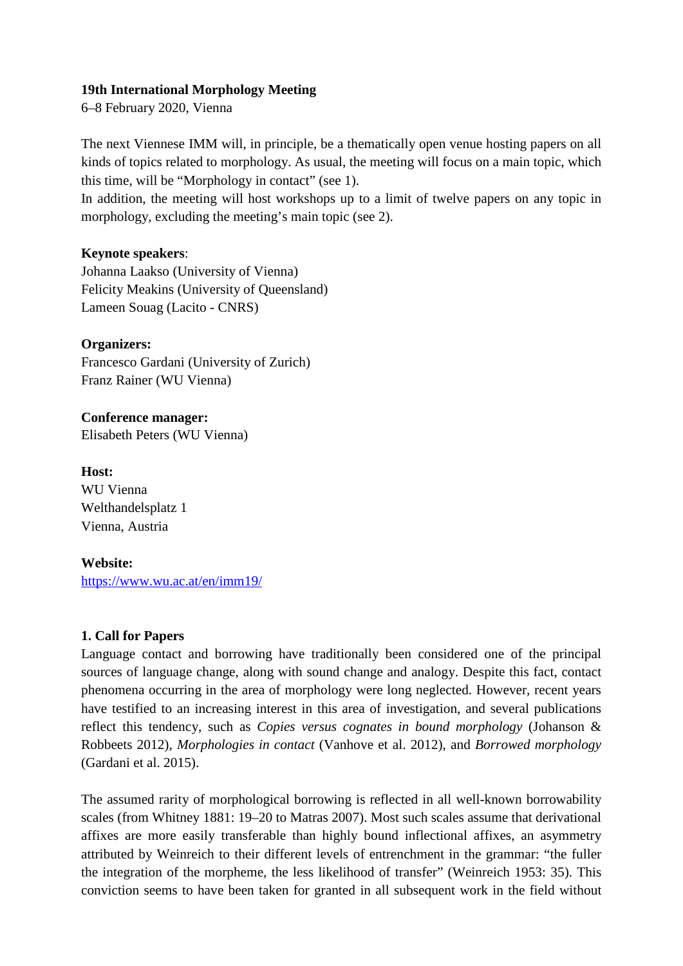### **19th International Morphology Meeting**

6–8 February 2020, Vienna

The next Viennese IMM will, in principle, be a thematically open venue hosting papers on all kinds of topics related to morphology. As usual, the meeting will focus on a main topic, which this time, will be "Morphology in contact" (see 1).

In addition, the meeting will host workshops up to a limit of twelve papers on any topic in morphology, excluding the meeting's main topic (see 2).

# **Keynote speakers**:

Johanna Laakso (University of Vienna) Felicity Meakins (University of Queensland) Lameen Souag (Lacito - CNRS)

#### **Organizers:**

Francesco Gardani (University of Zurich) Franz Rainer (WU Vienna)

**Conference manager:** Elisabeth Peters (WU Vienna)

**Host:** WU Vienna Welthandelsplatz 1 Vienna, Austria

# **Website:**

<https://www.wu.ac.at/en/imm19/>

# **1. Call for Papers**

Language contact and borrowing have traditionally been considered one of the principal sources of language change, along with sound change and analogy. Despite this fact, contact phenomena occurring in the area of morphology were long neglected. However, recent years have testified to an increasing interest in this area of investigation, and several publications reflect this tendency, such as *Copies versus cognates in bound morphology* (Johanson & Robbeets 2012), *Morphologies in contact* (Vanhove et al. 2012), and *Borrowed morphology* (Gardani et al. 2015).

The assumed rarity of morphological borrowing is reflected in all well-known borrowability scales (from Whitney 1881: 19–20 to Matras 2007). Most such scales assume that derivational affixes are more easily transferable than highly bound inflectional affixes, an asymmetry attributed by Weinreich to their different levels of entrenchment in the grammar: "the fuller the integration of the morpheme, the less likelihood of transfer" (Weinreich 1953: 35). This conviction seems to have been taken for granted in all subsequent work in the field without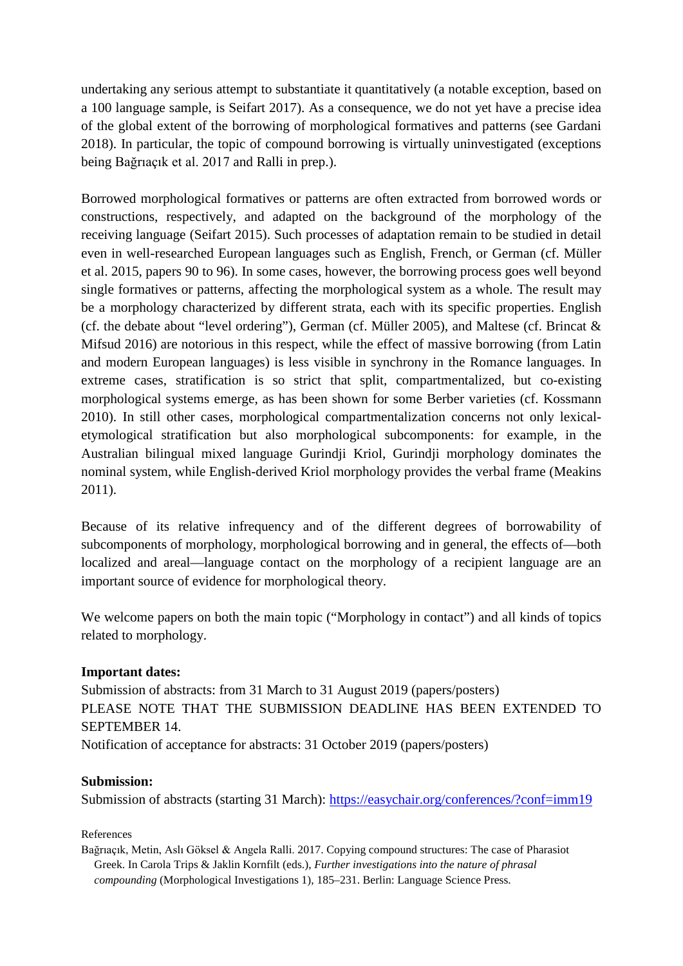undertaking any serious attempt to substantiate it quantitatively (a notable exception, based on a 100 language sample, is Seifart 2017). As a consequence, we do not yet have a precise idea of the global extent of the borrowing of morphological formatives and patterns (see Gardani 2018). In particular, the topic of compound borrowing is virtually uninvestigated (exceptions being Bağrıaçık et al. 2017 and Ralli in prep.).

Borrowed morphological formatives or patterns are often extracted from borrowed words or constructions, respectively, and adapted on the background of the morphology of the receiving language (Seifart 2015). Such processes of adaptation remain to be studied in detail even in well-researched European languages such as English, French, or German (cf. Müller et al. 2015, papers 90 to 96). In some cases, however, the borrowing process goes well beyond single formatives or patterns, affecting the morphological system as a whole. The result may be a morphology characterized by different strata, each with its specific properties. English (cf. the debate about "level ordering"), German (cf. Müller 2005), and Maltese (cf. Brincat & Mifsud 2016) are notorious in this respect, while the effect of massive borrowing (from Latin and modern European languages) is less visible in synchrony in the Romance languages. In extreme cases, stratification is so strict that split, compartmentalized, but co-existing morphological systems emerge, as has been shown for some Berber varieties (cf. Kossmann 2010). In still other cases, morphological compartmentalization concerns not only lexicaletymological stratification but also morphological subcomponents: for example, in the Australian bilingual mixed language Gurindji Kriol, Gurindji morphology dominates the nominal system, while English-derived Kriol morphology provides the verbal frame (Meakins 2011).

Because of its relative infrequency and of the different degrees of borrowability of subcomponents of morphology, morphological borrowing and in general, the effects of—both localized and areal—language contact on the morphology of a recipient language are an important source of evidence for morphological theory.

We welcome papers on both the main topic ("Morphology in contact") and all kinds of topics related to morphology.

# **Important dates:**

Submission of abstracts: from 31 March to 31 August 2019 (papers/posters) PLEASE NOTE THAT THE SUBMISSION DEADLINE HAS BEEN EXTENDED TO SEPTEMBER 14.

Notification of acceptance for abstracts: 31 October 2019 (papers/posters)

#### **Submission:**

Submission of abstracts (starting 31 March):<https://easychair.org/conferences/?conf=imm19>

#### References

Bağrıaçık, Metin, Aslı Göksel & Angela Ralli. 2017. Copying compound structures: The case of Pharasiot Greek. In Carola Trips & Jaklin Kornfilt (eds.), *Further investigations into the nature of phrasal compounding* (Morphological Investigations 1), 185–231. Berlin: Language Science Press.